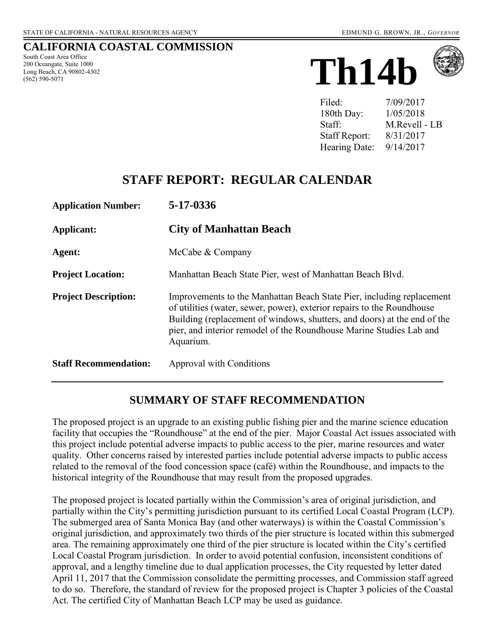#### **CALIFORNIA COASTAL COMMISSION**

South Coast Area Office 200 Oceangate, Suite 1000 Long Beach, CA 90802-4302 (562) 590-5071





| Filed:               | 7/09/2017     |
|----------------------|---------------|
| 180th Day:           | 1/05/2018     |
| Staff:               | M.Revell - LB |
| <b>Staff Report:</b> | 8/31/2017     |
| Hearing Date:        | 9/14/2017     |

# **STAFF REPORT: REGULAR CALENDAR**

| <b>Application Number:</b>   | 5-17-0336                                                                                                                                                                                                                                                                                                       |
|------------------------------|-----------------------------------------------------------------------------------------------------------------------------------------------------------------------------------------------------------------------------------------------------------------------------------------------------------------|
| <b>Applicant:</b>            | <b>City of Manhattan Beach</b>                                                                                                                                                                                                                                                                                  |
| Agent:                       | McCabe & Company                                                                                                                                                                                                                                                                                                |
| <b>Project Location:</b>     | Manhattan Beach State Pier, west of Manhattan Beach Blvd.                                                                                                                                                                                                                                                       |
| <b>Project Description:</b>  | Improvements to the Manhattan Beach State Pier, including replacement<br>of utilities (water, sewer, power), exterior repairs to the Roundhouse<br>Building (replacement of windows, shutters, and doors) at the end of the<br>pier, and interior remodel of the Roundhouse Marine Studies Lab and<br>Aquarium. |
| <b>Staff Recommendation:</b> | Approval with Conditions                                                                                                                                                                                                                                                                                        |

### **SUMMARY OF STAFF RECOMMENDATION**

The proposed project is an upgrade to an existing public fishing pier and the marine science education facility that occupies the "Roundhouse" at the end of the pier. Major Coastal Act issues associated with this project include potential adverse impacts to public access to the pier, marine resources and water quality. Other concerns raised by interested parties include potential adverse impacts to public access related to the removal of the food concession space (café) within the Roundhouse, and impacts to the historical integrity of the Roundhouse that may result from the proposed upgrades.

The proposed project is located partially within the Commission's area of original jurisdiction, and partially within the City's permitting jurisdiction pursuant to its certified Local Coastal Program (LCP). The submerged area of Santa Monica Bay (and other waterways) is within the Coastal Commission's original jurisdiction, and approximately two thirds of the pier structure is located within this submerged area. The remaining approximately one third of the pier structure is located within the City's certified Local Coastal Program jurisdiction. In order to avoid potential confusion, inconsistent conditions of approval, and a lengthy timeline due to dual application processes, the City requested by letter dated April 11, 2017 that the Commission consolidate the permitting processes, and Commission staff agreed to do so. Therefore, the standard of review for the proposed project is Chapter 3 policies of the Coastal Act. The certified City of Manhattan Beach LCP may be used as guidance.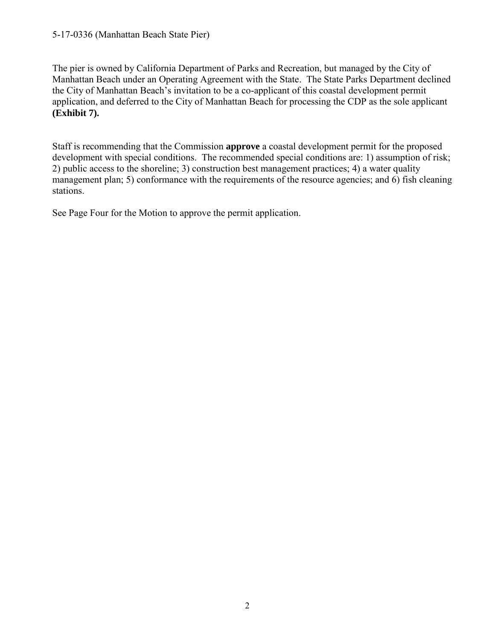The pier is owned by California Department of Parks and Recreation, but managed by the City of Manhattan Beach under an Operating Agreement with the State. The State Parks Department declined the City of Manhattan Beach's invitation to be a co-applicant of this coastal development permit application, and deferred to the City of Manhattan Beach for processing the CDP as the sole applicant **(Exhibit 7).** 

Staff is recommending that the Commission **approve** a coastal development permit for the proposed development with special conditions. The recommended special conditions are: 1) assumption of risk; 2) public access to the shoreline; 3) construction best management practices; 4) a water quality management plan; 5) conformance with the requirements of the resource agencies; and 6) fish cleaning stations.

See Page Four for the Motion to approve the permit application.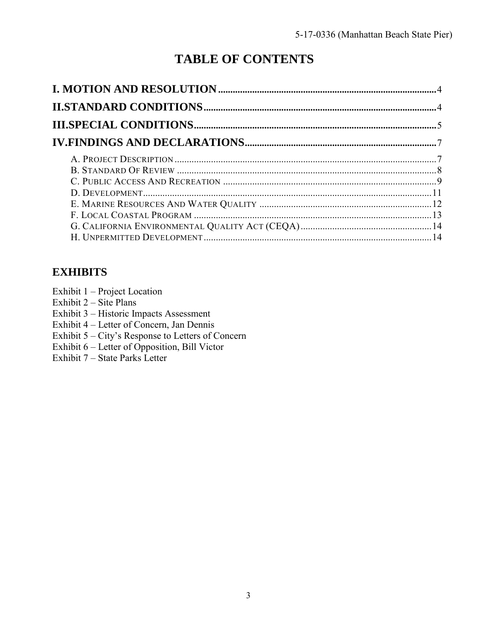# **TABLE OF CONTENTS**

# **EXHIBITS**

Exhibit 1 – Project Location

Exhibit 2 – Site Plans

Exhibit 3 – Historic Impacts Assessment

Exhibit 4 – Letter of Concern, Jan Dennis

Exhibit 5 – City's Response to Letters of Concern

[Exhibit 6 – Letter of Opposition, Bill Victor](https://documents.coastal.ca.gov/reports/2017/9/Th14b/Th14b-9-2017-exhibits.pdf) 

Exhibit 7 – State Parks Letter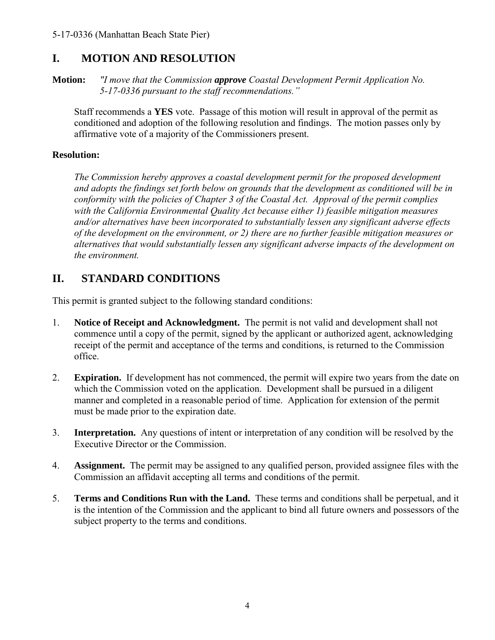# <span id="page-3-0"></span>**I. MOTION AND RESOLUTION**

**Motion:** *"I move that the Commission approve Coastal Development Permit Application No. 5-17-0336 pursuant to the staff recommendations."* 

Staff recommends a **YES** vote. Passage of this motion will result in approval of the permit as conditioned and adoption of the following resolution and findings. The motion passes only by affirmative vote of a majority of the Commissioners present.

### **Resolution:**

*The Commission hereby approves a coastal development permit for the proposed development and adopts the findings set forth below on grounds that the development as conditioned will be in conformity with the policies of Chapter 3 of the Coastal Act. Approval of the permit complies with the California Environmental Quality Act because either 1) feasible mitigation measures and/or alternatives have been incorporated to substantially lessen any significant adverse effects of the development on the environment, or 2) there are no further feasible mitigation measures or alternatives that would substantially lessen any significant adverse impacts of the development on the environment.* 

# <span id="page-3-1"></span>**II. STANDARD CONDITIONS**

This permit is granted subject to the following standard conditions:

- 1. **Notice of Receipt and Acknowledgment.** The permit is not valid and development shall not commence until a copy of the permit, signed by the applicant or authorized agent, acknowledging receipt of the permit and acceptance of the terms and conditions, is returned to the Commission office.
- 2. **Expiration.** If development has not commenced, the permit will expire two years from the date on which the Commission voted on the application. Development shall be pursued in a diligent manner and completed in a reasonable period of time. Application for extension of the permit must be made prior to the expiration date.
- 3. **Interpretation.** Any questions of intent or interpretation of any condition will be resolved by the Executive Director or the Commission.
- 4. **Assignment.** The permit may be assigned to any qualified person, provided assignee files with the Commission an affidavit accepting all terms and conditions of the permit.
- 5. **Terms and Conditions Run with the Land.** These terms and conditions shall be perpetual, and it is the intention of the Commission and the applicant to bind all future owners and possessors of the subject property to the terms and conditions.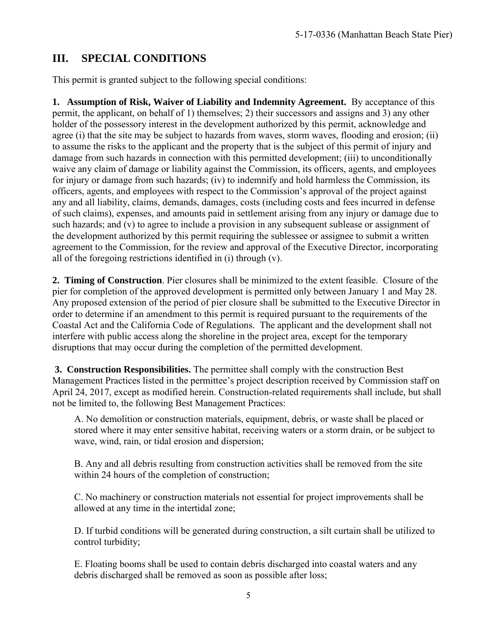# <span id="page-4-0"></span>**III. SPECIAL CONDITIONS**

This permit is granted subject to the following special conditions:

**1. Assumption of Risk, Waiver of Liability and Indemnity Agreement.** By acceptance of this permit, the applicant, on behalf of 1) themselves; 2) their successors and assigns and 3) any other holder of the possessory interest in the development authorized by this permit, acknowledge and agree (i) that the site may be subject to hazards from waves, storm waves, flooding and erosion; (ii) to assume the risks to the applicant and the property that is the subject of this permit of injury and damage from such hazards in connection with this permitted development; (iii) to unconditionally waive any claim of damage or liability against the Commission, its officers, agents, and employees for injury or damage from such hazards; (iv) to indemnify and hold harmless the Commission, its officers, agents, and employees with respect to the Commission's approval of the project against any and all liability, claims, demands, damages, costs (including costs and fees incurred in defense of such claims), expenses, and amounts paid in settlement arising from any injury or damage due to such hazards; and (v) to agree to include a provision in any subsequent sublease or assignment of the development authorized by this permit requiring the sublessee or assignee to submit a written agreement to the Commission, for the review and approval of the Executive Director, incorporating all of the foregoing restrictions identified in (i) through (v).

**2. Timing of Construction**. Pier closures shall be minimized to the extent feasible. Closure of the pier for completion of the approved development is permitted only between January 1 and May 28. Any proposed extension of the period of pier closure shall be submitted to the Executive Director in order to determine if an amendment to this permit is required pursuant to the requirements of the Coastal Act and the California Code of Regulations. The applicant and the development shall not interfere with public access along the shoreline in the project area, except for the temporary disruptions that may occur during the completion of the permitted development.

**3. Construction Responsibilities.** The permittee shall comply with the construction Best Management Practices listed in the permittee's project description received by Commission staff on April 24, 2017, except as modified herein. Construction-related requirements shall include, but shall not be limited to, the following Best Management Practices:

A. No demolition or construction materials, equipment, debris, or waste shall be placed or stored where it may enter sensitive habitat, receiving waters or a storm drain, or be subject to wave, wind, rain, or tidal erosion and dispersion;

B. Any and all debris resulting from construction activities shall be removed from the site within 24 hours of the completion of construction;

C. No machinery or construction materials not essential for project improvements shall be allowed at any time in the intertidal zone;

D. If turbid conditions will be generated during construction, a silt curtain shall be utilized to control turbidity;

E. Floating booms shall be used to contain debris discharged into coastal waters and any debris discharged shall be removed as soon as possible after loss;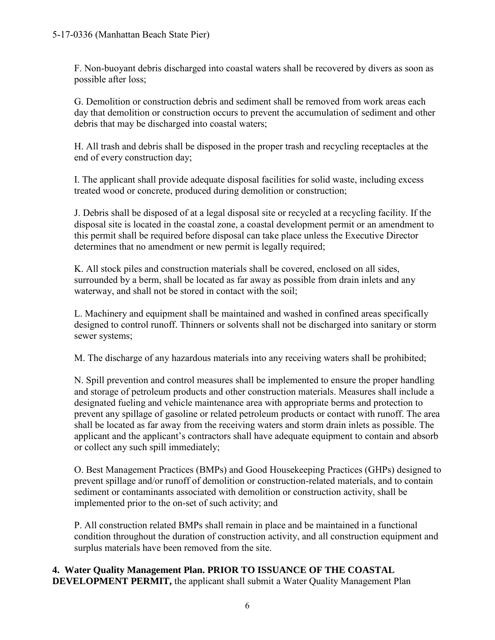F. Non-buoyant debris discharged into coastal waters shall be recovered by divers as soon as possible after loss;

G. Demolition or construction debris and sediment shall be removed from work areas each day that demolition or construction occurs to prevent the accumulation of sediment and other debris that may be discharged into coastal waters;

H. All trash and debris shall be disposed in the proper trash and recycling receptacles at the end of every construction day;

I. The applicant shall provide adequate disposal facilities for solid waste, including excess treated wood or concrete, produced during demolition or construction;

J. Debris shall be disposed of at a legal disposal site or recycled at a recycling facility. If the disposal site is located in the coastal zone, a coastal development permit or an amendment to this permit shall be required before disposal can take place unless the Executive Director determines that no amendment or new permit is legally required;

K. All stock piles and construction materials shall be covered, enclosed on all sides, surrounded by a berm, shall be located as far away as possible from drain inlets and any waterway, and shall not be stored in contact with the soil;

L. Machinery and equipment shall be maintained and washed in confined areas specifically designed to control runoff. Thinners or solvents shall not be discharged into sanitary or storm sewer systems;

M. The discharge of any hazardous materials into any receiving waters shall be prohibited;

N. Spill prevention and control measures shall be implemented to ensure the proper handling and storage of petroleum products and other construction materials. Measures shall include a designated fueling and vehicle maintenance area with appropriate berms and protection to prevent any spillage of gasoline or related petroleum products or contact with runoff. The area shall be located as far away from the receiving waters and storm drain inlets as possible. The applicant and the applicant's contractors shall have adequate equipment to contain and absorb or collect any such spill immediately;

O. Best Management Practices (BMPs) and Good Housekeeping Practices (GHPs) designed to prevent spillage and/or runoff of demolition or construction-related materials, and to contain sediment or contaminants associated with demolition or construction activity, shall be implemented prior to the on-set of such activity; and

P. All construction related BMPs shall remain in place and be maintained in a functional condition throughout the duration of construction activity, and all construction equipment and surplus materials have been removed from the site.

**4. Water Quality Management Plan. PRIOR TO ISSUANCE OF THE COASTAL DEVELOPMENT PERMIT,** the applicant shall submit a Water Quality Management Plan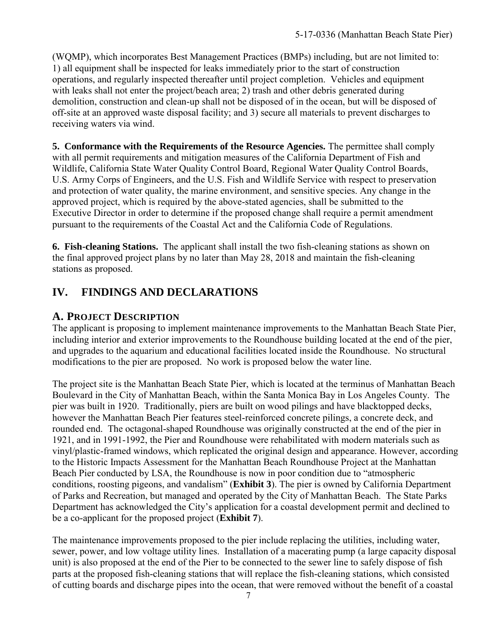(WQMP), which incorporates Best Management Practices (BMPs) including, but are not limited to: 1) all equipment shall be inspected for leaks immediately prior to the start of construction operations, and regularly inspected thereafter until project completion. Vehicles and equipment with leaks shall not enter the project/beach area; 2) trash and other debris generated during demolition, construction and clean-up shall not be disposed of in the ocean, but will be disposed of off-site at an approved waste disposal facility; and 3) secure all materials to prevent discharges to receiving waters via wind.

**5. Conformance with the Requirements of the Resource Agencies.** The permittee shall comply with all permit requirements and mitigation measures of the California Department of Fish and Wildlife, California State Water Quality Control Board, Regional Water Quality Control Boards, U.S. Army Corps of Engineers, and the U.S. Fish and Wildlife Service with respect to preservation and protection of water quality, the marine environment, and sensitive species. Any change in the approved project, which is required by the above-stated agencies, shall be submitted to the Executive Director in order to determine if the proposed change shall require a permit amendment pursuant to the requirements of the Coastal Act and the California Code of Regulations.

**6. Fish-cleaning Stations.** The applicant shall install the two fish-cleaning stations as shown on the final approved project plans by no later than May 28, 2018 and maintain the fish-cleaning stations as proposed.

# <span id="page-6-0"></span>**IV. FINDINGS AND DECLARATIONS**

# <span id="page-6-1"></span>**A. PROJECT DESCRIPTION**

The applicant is proposing to implement maintenance improvements to the Manhattan Beach State Pier, including interior and exterior improvements to the Roundhouse building located at the end of the pier, and upgrades to the aquarium and educational facilities located inside the Roundhouse. No structural modifications to the pier are proposed. No work is proposed below the water line.

The project site is the Manhattan Beach State Pier, which is located at the terminus of Manhattan Beach Boulevard in the City of Manhattan Beach, within the Santa Monica Bay in Los Angeles County. The pier was built in 1920. Traditionally, piers are built on wood pilings and have blacktopped decks, however the Manhattan Beach Pier features steel-reinforced concrete pilings, a concrete deck, and rounded end. The octagonal-shaped Roundhouse was originally constructed at the end of the pier in 1921, and in 1991-1992, the Pier and Roundhouse were rehabilitated with modern materials such as vinyl/plastic-framed windows, which replicated the original design and appearance. However, according to the Historic Impacts Assessment for the Manhattan Beach Roundhouse Project at the Manhattan Beach Pier conducted by LSA, the Roundhouse is now in poor condition due to "atmospheric conditions, roosting pigeons, and vandalism" (**[Exhibit 3](https://documents.coastal.ca.gov/reports/2017/9/Th14b/Th14b-9-2017-exhibits.pdf)**). The pier is owned by California Department of Parks and Recreation, but managed and operated by the City of Manhattan Beach. The State Parks Department has acknowledged the City's application for a coastal development permit and declined to be a co-applicant for the proposed project (**[Exhibit](https://documents.coastal.ca.gov/reports/2017/9/Th14b/Th14b-9-2017-exhibits.pdf) 7**).

The maintenance improvements proposed to the pier include replacing the utilities, including water, sewer, power, and low voltage utility lines. Installation of a macerating pump (a large capacity disposal unit) is also proposed at the end of the Pier to be connected to the sewer line to safely dispose of fish parts at the proposed fish-cleaning stations that will replace the fish-cleaning stations, which consisted of cutting boards and discharge pipes into the ocean, that were removed without the benefit of a coastal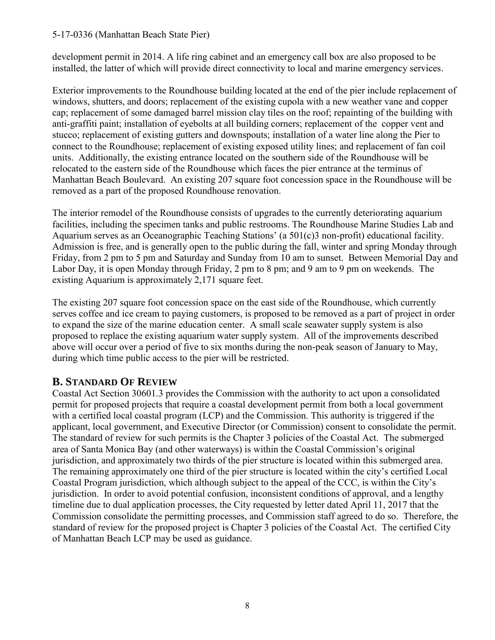development permit in 2014. A life ring cabinet and an emergency call box are also proposed to be installed, the latter of which will provide direct connectivity to local and marine emergency services.

Exterior improvements to the Roundhouse building located at the end of the pier include replacement of windows, shutters, and doors; replacement of the existing cupola with a new weather vane and copper cap; replacement of some damaged barrel mission clay tiles on the roof; repainting of the building with anti-graffiti paint; installation of eyebolts at all building corners; replacement of the copper vent and stucco; replacement of existing gutters and downspouts; installation of a water line along the Pier to connect to the Roundhouse; replacement of existing exposed utility lines; and replacement of fan coil units. Additionally, the existing entrance located on the southern side of the Roundhouse will be relocated to the eastern side of the Roundhouse which faces the pier entrance at the terminus of Manhattan Beach Boulevard. An existing 207 square foot concession space in the Roundhouse will be removed as a part of the proposed Roundhouse renovation.

The interior remodel of the Roundhouse consists of upgrades to the currently deteriorating aquarium facilities, including the specimen tanks and public restrooms. The Roundhouse Marine Studies Lab and Aquarium serves as an Oceanographic Teaching Stations' (a 501(c)3 non-profit) educational facility. Admission is free, and is generally open to the public during the fall, winter and spring Monday through Friday, from 2 pm to 5 pm and Saturday and Sunday from 10 am to sunset. Between Memorial Day and Labor Day, it is open Monday through Friday, 2 pm to 8 pm; and 9 am to 9 pm on weekends. The existing Aquarium is approximately 2,171 square feet.

The existing 207 square foot concession space on the east side of the Roundhouse, which currently serves coffee and ice cream to paying customers, is proposed to be removed as a part of project in order to expand the size of the marine education center. A small scale seawater supply system is also proposed to replace the existing aquarium water supply system. All of the improvements described above will occur over a period of five to six months during the non-peak season of January to May, during which time public access to the pier will be restricted.

### <span id="page-7-0"></span>**B. STANDARD OF REVIEW**

Coastal Act Section 30601.3 provides the Commission with the authority to act upon a consolidated permit for proposed projects that require a coastal development permit from both a local government with a certified local coastal program (LCP) and the Commission. This authority is triggered if the applicant, local government, and Executive Director (or Commission) consent to consolidate the permit. The standard of review for such permits is the Chapter 3 policies of the Coastal Act. The submerged area of Santa Monica Bay (and other waterways) is within the Coastal Commission's original jurisdiction, and approximately two thirds of the pier structure is located within this submerged area. The remaining approximately one third of the pier structure is located within the city's certified Local Coastal Program jurisdiction, which although subject to the appeal of the CCC, is within the City's jurisdiction. In order to avoid potential confusion, inconsistent conditions of approval, and a lengthy timeline due to dual application processes, the City requested by letter dated April 11, 2017 that the Commission consolidate the permitting processes, and Commission staff agreed to do so. Therefore, the standard of review for the proposed project is Chapter 3 policies of the Coastal Act. The certified City of Manhattan Beach LCP may be used as guidance.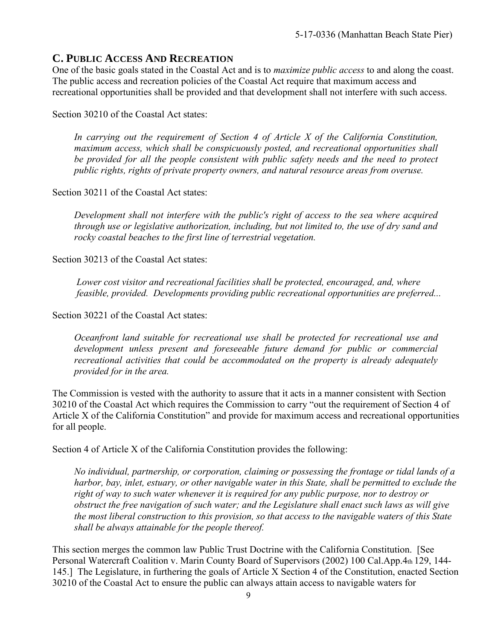### <span id="page-8-0"></span>**C. PUBLIC ACCESS AND RECREATION**

One of the basic goals stated in the Coastal Act and is to *maximize public access* to and along the coast. The public access and recreation policies of the Coastal Act require that maximum access and recreational opportunities shall be provided and that development shall not interfere with such access.

Section 30210 of the Coastal Act states:

*In carrying out the requirement of Section 4 of Article X of the California Constitution, maximum access, which shall be conspicuously posted, and recreational opportunities shall be provided for all the people consistent with public safety needs and the need to protect public rights, rights of private property owners, and natural resource areas from overuse.* 

Section 30211 of the Coastal Act states:

*Development shall not interfere with the public's right of access to the sea where acquired through use or legislative authorization, including, but not limited to, the use of dry sand and rocky coastal beaches to the first line of terrestrial vegetation.* 

Section 30213 of the Coastal Act states:

*Lower cost visitor and recreational facilities shall be protected, encouraged, and, where feasible, provided. Developments providing public recreational opportunities are preferred...* 

Section 30221 of the Coastal Act states:

*Oceanfront land suitable for recreational use shall be protected for recreational use and development unless present and foreseeable future demand for public or commercial recreational activities that could be accommodated on the property is already adequately provided for in the area.* 

The Commission is vested with the authority to assure that it acts in a manner consistent with Section 30210 of the Coastal Act which requires the Commission to carry "out the requirement of Section 4 of Article X of the California Constitution" and provide for maximum access and recreational opportunities for all people.

Section 4 of Article X of the California Constitution provides the following:

*No individual, partnership, or corporation, claiming or possessing the frontage or tidal lands of a harbor, bay, inlet, estuary, or other navigable water in this State, shall be permitted to exclude the right of way to such water whenever it is required for any public purpose, nor to destroy or obstruct the free navigation of such water; and the Legislature shall enact such laws as will give the most liberal construction to this provision, so that access to the navigable waters of this State shall be always attainable for the people thereof.* 

This section merges the common law Public Trust Doctrine with the California Constitution. [See Personal Watercraft Coalition v. Marin County Board of Supervisors (2002) 100 Cal.App.4th 129, 144- 145.] The Legislature, in furthering the goals of Article X Section 4 of the Constitution, enacted Section 30210 of the Coastal Act to ensure the public can always attain access to navigable waters for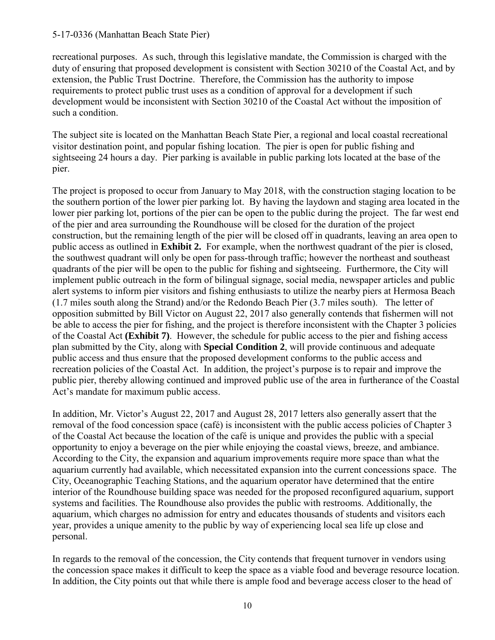recreational purposes. As such, through this legislative mandate, the Commission is charged with the duty of ensuring that proposed development is consistent with Section 30210 of the Coastal Act, and by extension, the Public Trust Doctrine. Therefore, the Commission has the authority to impose requirements to protect public trust uses as a condition of approval for a development if such development would be inconsistent with Section 30210 of the Coastal Act without the imposition of such a condition.

The subject site is located on the Manhattan Beach State Pier, a regional and local coastal recreational visitor destination point, and popular fishing location. The pier is open for public fishing and sightseeing 24 hours a day. Pier parking is available in public parking lots located at the base of the pier.

The project is proposed to occur from January to May 2018, with the construction staging location to be the southern portion of the lower pier parking lot. By having the laydown and staging area located in the lower pier parking lot, portions of the pier can be open to the public during the project. The far west end of the pier and area surrounding the Roundhouse will be closed for the duration of the project construction, but the remaining length of the pier will be closed off in quadrants, leaving an area open to public access as outlined in **[Exhibit 2.](https://documents.coastal.ca.gov/reports/2017/9/Th14b/Th14b-9-2017-exhibits.pdf)** For example, when the northwest quadrant of the pier is closed, the southwest quadrant will only be open for pass-through traffic; however the northeast and southeast quadrants of the pier will be open to the public for fishing and sightseeing. Furthermore, the City will implement public outreach in the form of bilingual signage, social media, newspaper articles and public alert systems to inform pier visitors and fishing enthusiasts to utilize the nearby piers at Hermosa Beach (1.7 miles south along the Strand) and/or the Redondo Beach Pier (3.7 miles south). The letter of opposition submitted by Bill Victor on August 22, 2017 also generally contends that fishermen will not be able to access the pier for fishing, and the project is therefore inconsistent with the Chapter 3 policies of the Coastal Act **([Exhibit 7\)](https://documents.coastal.ca.gov/reports/2017/9/Th14b/Th14b-9-2017-exhibits.pdf)**. However, the schedule for public access to the pier and fishing access plan submitted by the City, along with **Special Condition 2**, will provide continuous and adequate public access and thus ensure that the proposed development conforms to the public access and recreation policies of the Coastal Act. In addition, the project's purpose is to repair and improve the public pier, thereby allowing continued and improved public use of the area in furtherance of the Coastal Act's mandate for maximum public access.

In addition, Mr. Victor's August 22, 2017 and August 28, 2017 letters also generally assert that the removal of the food concession space (café) is inconsistent with the public access policies of Chapter 3 of the Coastal Act because the location of the café is unique and provides the public with a special opportunity to enjoy a beverage on the pier while enjoying the coastal views, breeze, and ambiance. According to the City, the expansion and aquarium improvements require more space than what the aquarium currently had available, which necessitated expansion into the current concessions space. The City, Oceanographic Teaching Stations, and the aquarium operator have determined that the entire interior of the Roundhouse building space was needed for the proposed reconfigured aquarium, support systems and facilities. The Roundhouse also provides the public with restrooms. Additionally, the aquarium, which charges no admission for entry and educates thousands of students and visitors each year, provides a unique amenity to the public by way of experiencing local sea life up close and personal.

In regards to the removal of the concession, the City contends that frequent turnover in vendors using the concession space makes it difficult to keep the space as a viable food and beverage resource location. In addition, the City points out that while there is ample food and beverage access closer to the head of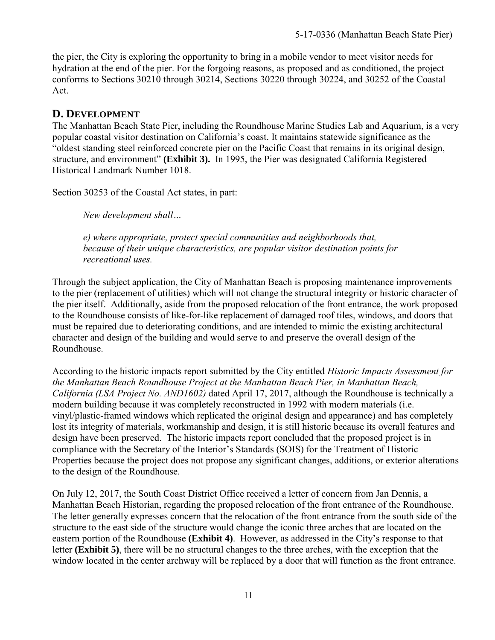the pier, the City is exploring the opportunity to bring in a mobile vendor to meet visitor needs for hydration at the end of the pier. For the forgoing reasons, as proposed and as conditioned, the project conforms to Sections 30210 through 30214, Sections 30220 through 30224, and 30252 of the Coastal Act.

### <span id="page-10-0"></span>**D. DEVELOPMENT**

The Manhattan Beach State Pier, including the Roundhouse Marine Studies Lab and Aquarium, is a very popular coastal visitor destination on California's coast. It maintains statewide significance as the "oldest standing steel reinforced concrete pier on the Pacific Coast that remains in its original design, structure, and environment" **([Exhibit 3\).](https://documents.coastal.ca.gov/reports/2017/9/Th14b/Th14b-9-2017-exhibits.pdf)** In 1995, the Pier was designated California Registered Historical Landmark Number 1018.

Section 30253 of the Coastal Act states, in part:

*New development shall…*

*e) where appropriate, protect special communities and neighborhoods that, because of their unique characteristics, are popular visitor destination points for recreational uses.*

Through the subject application, the City of Manhattan Beach is proposing maintenance improvements to the pier (replacement of utilities) which will not change the structural integrity or historic character of the pier itself. Additionally, aside from the proposed relocation of the front entrance, the work proposed to the Roundhouse consists of like-for-like replacement of damaged roof tiles, windows, and doors that must be repaired due to deteriorating conditions, and are intended to mimic the existing architectural character and design of the building and would serve to and preserve the overall design of the Roundhouse.

According to the historic impacts report submitted by the City entitled *Historic Impacts Assessment for the Manhattan Beach Roundhouse Project at the Manhattan Beach Pier, in Manhattan Beach, California (LSA Project No. AND1602)* dated April 17, 2017, although the Roundhouse is technically a modern building because it was completely reconstructed in 1992 with modern materials (i.e. vinyl/plastic-framed windows which replicated the original design and appearance) and has completely lost its integrity of materials, workmanship and design, it is still historic because its overall features and design have been preserved. The historic impacts report concluded that the proposed project is in compliance with the Secretary of the Interior's Standards (SOIS) for the Treatment of Historic Properties because the project does not propose any significant changes, additions, or exterior alterations to the design of the Roundhouse.

On July 12, 2017, the South Coast District Office received a letter of concern from Jan Dennis, a Manhattan Beach Historian, regarding the proposed relocation of the front entrance of the Roundhouse. The letter generally expresses concern that the relocation of the front entrance from the south side of the structure to the east side of the structure would change the iconic three arches that are located on the eastern portion of the Roundhouse **[\(Exhibit 4\)](https://documents.coastal.ca.gov/reports/2017/9/Th14b/Th14b-9-2017-exhibits.pdf)**. However, as addressed in the City's response to that letter **[\(Exhibit 5\)](https://documents.coastal.ca.gov/reports/2017/9/Th14b/Th14b-9-2017-exhibits.pdf)**, there will be no structural changes to the three arches, with the exception that the window located in the center archway will be replaced by a door that will function as the front entrance.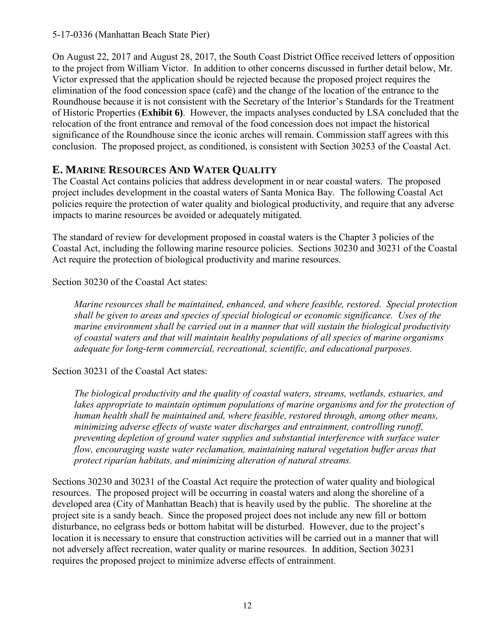On August 22, 2017 and August 28, 2017, the South Coast District Office received letters of opposition to the project from William Victor. In addition to other concerns discussed in further detail below, Mr. Victor expressed that the application should be rejected because the proposed project requires the elimination of the food concession space (café) and the change of the location of the entrance to the Roundhouse because it is not consistent with the Secretary of the Interior's Standards for the Treatment of Historic Properties (**[Exhibit 6\)](https://documents.coastal.ca.gov/reports/2017/9/Th14b/Th14b-9-2017-exhibits.pdf)**. However, the impacts analyses conducted by LSA concluded that the relocation of the front entrance and removal of the food concession does not impact the historical significance of the Roundhouse since the iconic arches will remain. Commission staff agrees with this conclusion. The proposed project, as conditioned, is consistent with Section 30253 of the Coastal Act.

### <span id="page-11-0"></span>**E. MARINE RESOURCES AND WATER QUALITY**

The Coastal Act contains policies that address development in or near coastal waters. The proposed project includes development in the coastal waters of Santa Monica Bay. The following Coastal Act policies require the protection of water quality and biological productivity, and require that any adverse impacts to marine resources be avoided or adequately mitigated.

The standard of review for development proposed in coastal waters is the Chapter 3 policies of the Coastal Act, including the following marine resource policies. Sections 30230 and 30231 of the Coastal Act require the protection of biological productivity and marine resources.

Section 30230 of the Coastal Act states:

*Marine resources shall be maintained, enhanced, and where feasible, restored. Special protection shall be given to areas and species of special biological or economic significance. Uses of the marine environment shall be carried out in a manner that will sustain the biological productivity of coastal waters and that will maintain healthy populations of all species of marine organisms adequate for long-term commercial, recreational, scientific, and educational purposes.* 

#### Section 30231 of the Coastal Act states:

*The biological productivity and the quality of coastal waters, streams, wetlands, estuaries, and*  lakes appropriate to maintain optimum populations of marine organisms and for the protection of *human health shall be maintained and, where feasible, restored through, among other means, minimizing adverse effects of waste water discharges and entrainment, controlling runoff, preventing depletion of ground water supplies and substantial interference with surface water flow, encouraging waste water reclamation, maintaining natural vegetation buffer areas that protect riparian habitats, and minimizing alteration of natural streams.* 

Sections 30230 and 30231 of the Coastal Act require the protection of water quality and biological resources. The proposed project will be occurring in coastal waters and along the shoreline of a developed area (City of Manhattan Beach) that is heavily used by the public. The shoreline at the project site is a sandy beach. Since the proposed project does not include any new fill or bottom disturbance, no eelgrass beds or bottom habitat will be disturbed. However, due to the project's location it is necessary to ensure that construction activities will be carried out in a manner that will not adversely affect recreation, water quality or marine resources. In addition, Section 30231 requires the proposed project to minimize adverse effects of entrainment.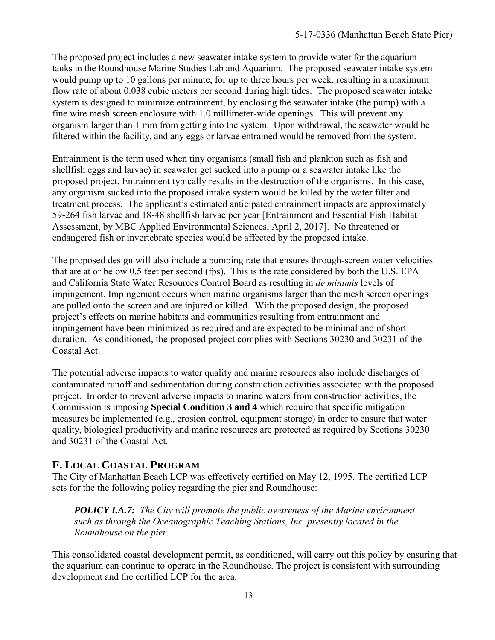The proposed project includes a new seawater intake system to provide water for the aquarium tanks in the Roundhouse Marine Studies Lab and Aquarium. The proposed seawater intake system would pump up to 10 gallons per minute, for up to three hours per week, resulting in a maximum flow rate of about 0.038 cubic meters per second during high tides. The proposed seawater intake system is designed to minimize entrainment, by enclosing the seawater intake (the pump) with a fine wire mesh screen enclosure with 1.0 millimeter-wide openings. This will prevent any organism larger than 1 mm from getting into the system. Upon withdrawal, the seawater would be filtered within the facility, and any eggs or larvae entrained would be removed from the system.

Entrainment is the term used when tiny organisms (small fish and plankton such as fish and shellfish eggs and larvae) in seawater get sucked into a pump or a seawater intake like the proposed project. Entrainment typically results in the destruction of the organisms. In this case, any organism sucked into the proposed intake system would be killed by the water filter and treatment process. The applicant's estimated anticipated entrainment impacts are approximately 59-264 fish larvae and 18-48 shellfish larvae per year [Entrainment and Essential Fish Habitat Assessment, by MBC Applied Environmental Sciences, April 2, 2017]. No threatened or endangered fish or invertebrate species would be affected by the proposed intake.

The proposed design will also include a pumping rate that ensures through-screen water velocities that are at or below 0.5 feet per second (fps). This is the rate considered by both the U.S. EPA and California State Water Resources Control Board as resulting in *de minimis* levels of impingement. Impingement occurs when marine organisms larger than the mesh screen openings are pulled onto the screen and are injured or killed. With the proposed design, the proposed project's effects on marine habitats and communities resulting from entrainment and impingement have been minimized as required and are expected to be minimal and of short duration. As conditioned, the proposed project complies with Sections 30230 and 30231 of the Coastal Act.

The potential adverse impacts to water quality and marine resources also include discharges of contaminated runoff and sedimentation during construction activities associated with the proposed project. In order to prevent adverse impacts to marine waters from construction activities, the Commission is imposing **Special Condition 3 and 4** which require that specific mitigation measures be implemented (e.g., erosion control, equipment storage) in order to ensure that water quality, biological productivity and marine resources are protected as required by Sections 30230 and 30231 of the Coastal Act.

### <span id="page-12-0"></span>**F. LOCAL COASTAL PROGRAM**

The City of Manhattan Beach LCP was effectively certified on May 12, 1995. The certified LCP sets for the the following policy regarding the pier and Roundhouse:

*POLICY I.A.7: The City will promote the public awareness of the Marine environment such as through the Oceanographic Teaching Stations, Inc. presently located in the Roundhouse on the pier.* 

This consolidated coastal development permit, as conditioned, will carry out this policy by ensuring that the aquarium can continue to operate in the Roundhouse. The project is consistent with surrounding development and the certified LCP for the area.